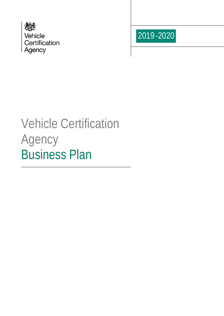



# Vehicle Certification Agency Business Plan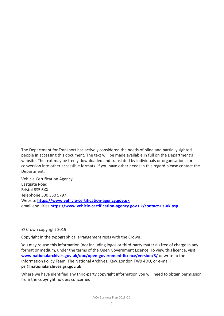The Department for Transport has actively considered the needs of blind and partially sighted people in accessing this document. The text will be made available in full on the Department's website. The text may be freely downloaded and translated by individuals or organisations for conversion into other accessible formats. If you have other needs in this regard please contact the Department.

Vehicle Certification Agency Eastgate Road Bristol BS5 6XX Telephone 300 330 5797 Website **[https://www.vehicle-certification-agency.gov.uk](https://www.vehicle-certification-agency.gov.uk/)** email enquiries **<https://www.vehicle-certification-agency.gov.uk/contact-us-uk.asp>**

#### © Crown copyright 2019

Copyright in the typographical arrangement rests with the Crown.

You may re-use this information (not including logos or third-party material) free of charge in any format or medium, under the terms of the Open Government Licence. To view this licence, visit **[www.nationalarchives.gov.uk/doc/open-government-licence/version/3/](http://www.nationalarchives.gov.uk/doc/open-government-licence/version/3/)** or write to the Information Policy Team, The National Archives, Kew, London TW9 4DU, or e-mail: **[psi@nationalarchives.gsi.gov.uk](mailto:psi@nationalarchives.gsi.gov.uk)**

Where we have identified any third-party copyright information you will need to obtain permission from the copyright holders concerned.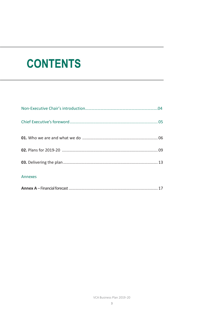# **CONTENTS**

| Annexes |  |
|---------|--|
|         |  |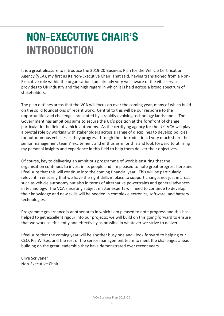## **NON-EXECUTIVE CHAIR'S INTRODUCTION**

It is a great pleasure to introduce the 2019-20 Business Plan for the Vehicle Certification Agency (VCA), my first as its Non-Executive Chair. That said, having transitioned from a Non-Executive role within the organisation I am already very well aware of the vital service it provides to UK industry and the high regard in which it is held across a broad spectrum of stakeholders.

The plan outlines areas that the VCA will focus on over the coming year, many of which build on the solid foundations of recent work. Central to this will be our response to the opportunities and challenges presented by a rapidly evolving technology landscape. The Government has ambitious aims to secure the UK's position at the forefront of change, particular in the field of vehicle autonomy. As the certifying agency for the UK, VCA will play a pivotal role by working with stakeholders across a range of disciplines to develop policies for autonomous vehicles as they progress through their introduction. I very much share the senior management teams' excitement and enthusiasm for this and look forward to utilising my personal insights and experience in this field to help them deliver their objectives.

Of course, key to delivering an ambitious programme of work is ensuring that the organisation continues to invest in its people and I'm pleased to note great progress here and I feel sure that this will continue into the coming financial year. This will be particularly relevant in ensuring that we have the right skills in place to support change, not just in areas such as vehicle autonomy but also in terms of alternative powertrains and general advances in technology. The VCA's existing subject matter experts will need to continue to develop their knowledge and new skills will be needed in complex electronics, software, and battery technologies.

Programme governance is another area in which I am pleased to note progress and this has helped to get excellent rigour into our projects; we will build on this going forward to ensure that we work as efficiently and effectively as possible in whatever we strive to deliver.

I feel sure that the coming year will be another busy one and I look forward to helping our CEO, Pia Wilkes, and the rest of the senior management team to meet the challenges ahead, building on the great leadership they have demonstrated over recent years.

Clive Scrivener Non-Executive Chair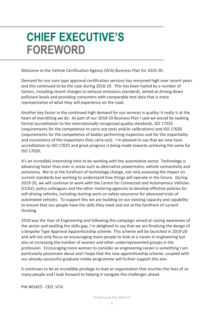## **CHIEF EXECUTIVE'S FOREWORD**

Welcome to the Vehicle Certification Agency (VCA) Business Plan for 2019-20.

Demand for our core type approval certification services has remained high over recent years and this continued to be the case during 2018-19. This has been fueled by a number of factors, including recent changes to exhaust emissions standards, aimed at driving down pollutant levels and providing consumers with comparable test data that is more representative of what they will experience on the road.

Another key factor in the continued high demand for our services is quality; it really is at the heart of everything we do. As part of our 2018-19 Business Plan I said we would be seeking formal accreditation to the internationally recognized quality standards, ISO 17025 (requirements for the competence to carry out tests and/or calibrations) and ISO 17020 (requirements for the competence of bodies performing inspection and for the impartiality and consistency of the inspections they carry out). I'm pleased to say that we now have accreditation to ISO 17025 and great progress is being made towards achieving the same for ISO 17020.

It's an incredibly interesting time to be working with the automotive sector. Technology is advancing faster than ever in areas such as alternative powertrains, vehicle connectivity and autonomy. We're at the forefront of technology change, not only assessing the impact on current standards but working to understand how things will operate in the future. During 2019-20, we will continue to work with the Centre for Connected and Autonomous Vehicles (CCAV), policy colleagues and the other motoring agencies to develop effective policies for self-driving vehicles, including starting work on safety assurance for advanced trials of automated vehicles. To support this we are building on our existing capacity and capability to ensure that our people have the skills they need and are at the forefront of current thinking.

2018 was the Year of Engineering and following this campaign aimed at raising awareness of the sector and tackling the skills gap, I'm delighted to say that we are finalising the design of a bespoke Type Approval Apprenticeship scheme. This scheme will be launched in 2019-20 and will not only focus on encouraging more people to look at a career in engineering but also at increasing the number of women and other underrepresented groups in the profession. Encouraging more women to consider an engineering career is something I am particularly passionate about and I hope that the new apprenticeship scheme, coupled with our already successful graduate intake programme will further support this aim.

It continues to be an incredible privilege to lead an organisation that touches the lives of so many people and I look forward to helping it navigate the challenges ahead.

PIA WILKES - CEO, VCA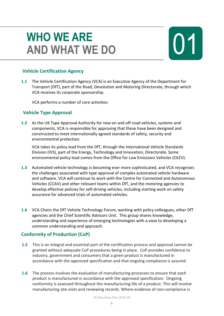### **WHO WE ARE AND WHAT WE DO**

#### **Vehicle Certification Agency**

**1.1** The Vehicle Certification Agency (VCA) is an Executive Agency of the Department for Transport (DfT), part of the Road, Devolution and Motoring Directorate, through which VCA receives its corporate sponsorship.

VCA performs a number of core activities:

#### **Vehicle Type Approval**

**1.2** As the UK Type Approval Authority for new on and off-road vehicles, systems and components, VCA is responsible for approving that these have been designed and constructed to meet internationally agreed standards of safety, security and environmental protection.

VCA takes its policy lead from the DfT, through the International Vehicle Standards Division (IVS), part of the Energy, Technology and Innovation, Directorate. Some environmental policy lead comes from the Office for Low Emissions Vehicles (OLEV).

- **1.3** Automated vehicle technology is becoming ever more sophisticated, and VCA recognises the challenges associated with type approval of complex automated vehicle hardware and software. VCA will continue to work with the Centre for Connected and Autonomous Vehicles (CCAV) and other relevant teams within DfT, and the motoring agencies to develop effective policies for self-driving vehicles, including starting work on safety assurance for advanced trials of automated vehicles.
- **1.4** VCA Chairs the DfT Vehicle Technology Forum, working with policy colleagues, other DfT agencies and the Chief Scientific Advisors Unit. This group shares knowledge, understanding and experience of emerging technologies with a view to developing a common understanding and approach.

#### **Conformity of Production (CoP)**

- **1.5** This is an integral and essential part of the certification process and approval cannot be granted without adequate CoP procedures being in place. CoP provides confidence to industry, government and consumers that a given product is manufactured in accordance with the approved specification and that ongoing compliance is assured.
- **1.6** The process involves the evaluation of manufacturing processes to ensure that each product is manufactured in accordance with the approved specification. Ongoing conformity is assessed throughout the manufacturing life of a product. This will involve manufacturing site visits and reviewing records. Where evidence of non-compliance is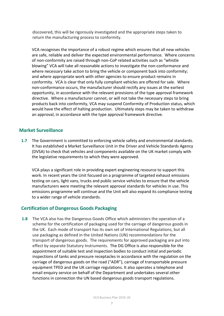discovered, this will be rigorously investigated and the appropriate steps taken to return the manufacturing process to conformity.

VCA recognises the importance of a robust regime which ensures that all new vehicles are safe, reliable and deliver the expected environmental performance. Where concerns of non-conformity are raised through non-CoP related activities such as "whistle blowing" VCA will take all reasonable actions to investigate the non-conformance and where necessary take action to bring the vehicle or component back into conformity; and where appropriate work with other agencies to ensure product remains in conformity. VCA is clear that only fully compliant vehicles are offered for sale. Where non-conformance occurs, the manufacturer should rectify any issues at the earliest opportunity, in accordance with the relevant provisions of the type approval framework directive. Where a manufacturer cannot, or will not take the necessary steps to bring products back into conformity, VCA may suspend Conformity of Production status, which would have the effect of halting production. Ultimately steps may be taken to withdraw an approval, in accordance with the type approval framework directive.

#### **Market Surveillance**

**1.7** The Government is committed to enforcing vehicle safety and environmental standards. It has established a Market Surveillance Unit in the Driver and Vehicle Standards Agency (DVSA) to check that vehicles and components available on the UK market comply with the legislative requirements to which they were approved.

VCA plays a significant role in providing expert engineering resource to support this work. In recent years the Unit focused on a programme of targeted exhaust emissions testing on cars, light vans, trucks and public service vehicles to ensure that the vehicle manufacturers were meeting the relevant approval standards for vehicles in use. This emissions programme will continue and the Unit will also expand its compliance testing to a wider range of vehicle standards.

#### **Certification of Dangerous Goods Packaging**

**1.8** The VCA also has the Dangerous Goods Office which administers the operation of a scheme for the certification of packaging used for the carriage of dangerous goods in the UK. Each mode of transport has its own set of International Regulations, but all use packaging as defined in the United Nations (UN) recommendations for the transport of dangerous goods. The requirements for approved packaging are put into effect by separate Statutory Instruments. The DG Office is also responsible for the appointment of suitable test and inspection bodies to conduct initial and periodic inspections of tanks and pressure receptacles in accordance with the regulation on the carriage of dangerous goods on the road ("ADR"), carriage of transportable pressure equipment TPED and the UK carriage regulations. It also operates a telephone and email enquiry service on behalf of the Department and undertakes several other functions in connection the UN based dangerous goods transport regulations.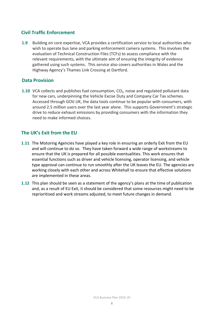#### **Civil Traffic Enforcement**

**1.9** Building on core expertise, VCA provides a certification service to local authorities who wish to operate bus lane and parking enforcement camera systems. This involves the evaluation of Technical Construction Files (TCFs) to assess compliance with the relevant requirements, with the ultimate aim of ensuring the integrity of evidence gathered using such systems. This service also covers authorities in Wales and the Highway Agency's Thames Link Crossing at Dartford.

#### **Data Provision**

**1.10** VCA collects and publishes fuel consumption, CO<sub>2</sub>, noise and regulated pollutant data for new cars, underpinning the Vehicle Excise Duty and Company Car Tax schemes. Accessed through GOV.UK, the data tools continue to be popular with consumers, with around 2.5 million users over the last year alone. This supports Government's strategic drive to reduce exhaust emissions by providing consumers with the information they need to make informed choices.

#### **The UK's Exit from the EU**

- **1.11** The Motoring Agencies have played a key role in ensuring an orderly Exit from the EU and will continue to do so. They have taken forward a wide range of workstreams to ensure that the UK is prepared for all possible eventualities. This work ensures that essential functions such as driver and vehicle licensing, operator licensing, and vehicle type approval can continue to run smoothly after the UK leaves the EU. The agencies are working closely with each other and across Whitehall to ensure that effective solutions are implemented in these areas.
- **1.12** This plan should be seen as a statement of the agency's plans at the time of publication and, as a result of EU Exit, it should be considered that some resources might need to be reprioritised and work streams adjusted, to meet future changes in demand.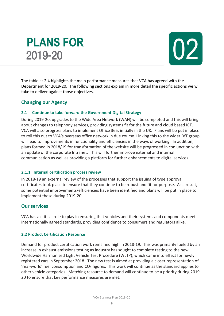### **PLANS FOR** 2019-20



The table at 2.4 highlights the main performance measures that VCA has agreed with the Department for 2019-20. The following sections explain in more detail the specific actions we will take to deliver against those objectives.

#### **Changing our Agency**

#### **2.1 Continue to take forward the Government Digital Strategy**

During 2019-20, upgrades to the Wide Area Network (WAN) will be completed and this will bring about changes to telephony services, providing systems fit for the future and cloud based ICT. VCA will also progress plans to implement Office 365, initially in the UK. Plans will be put in place to roll this out to VCA's overseas office network in due course. Linking this to the wider DfT group will lead to improvements in functionality and efficiencies in the ways of working. In addition, plans formed in 2018/19 for transformation of the website will be progressed in conjunction with an update of the corporate Intranet. This will further improve external and internal communication as well as providing a platform for further enhancements to digital services.

#### **2.1.1 Internal certification process review**

In 2018-19 an external review of the processes that support the issuing of type approval certificates took place to ensure that they continue to be robust and fit for purpose. As a result, some potential improvements/efficiencies have been identified and plans will be put in place to implement these during 2019-20.

#### **Our services**

VCA has a critical role to play in ensuring that vehicles and their systems and components meet internationally agreed standards, providing confidence to consumers and regulators alike.

#### **2.2 Product Certification Resource**

Demand for product certification work remained high in 2018-19. This was primarily fueled by an increase in exhaust emissions testing as industry has sought to complete testing to the new Worldwide Harmonised Light Vehicle Test Procedure (WLTP), which came into effect for newly registered cars in September 2018. The new test is aimed at providing a closer representation of 'real-world' fuel consumption and  $CO<sub>2</sub>$  figures. This work will continue as the standard applies to other vehicle categories. Matching resource to demand will continue to be a priority during 2019- 20 to ensure that key performance measures are met.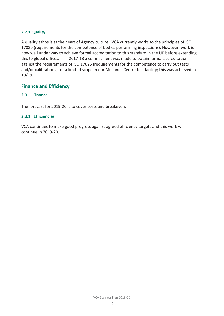#### **2.2.1 Quality**

A quality ethos is at the heart of Agency culture. VCA currently works to the principles of ISO 17020 (requirements for the competence of bodies performing inspections). However, work is now well under way to achieve formal accreditation to this standard in the UK before extending this to global offices. In 2017-18 a commitment was made to obtain formal accreditation against the requirements of ISO 17025 (requirements for the competence to carry out tests and/or calibrations) for a limited scope in our Midlands Centre test facility; this was achieved in 18/19.

#### **Finance and Efficiency**

#### **2.3 Finance**

The forecast for 2019-20 is to cover costs and breakeven.

#### **2.3.1 Efficiencies**

VCA continues to make good progress against agreed efficiency targets and this work will continue in 2019-20.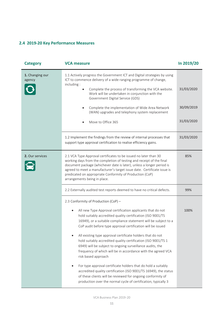#### **2.4 2019-20 Key Performance Measures**

| <b>Category</b>           | <b>VCA measure</b>                                                                                                                                                                                                                                                                                                                                                                                                                                                                                                                                                                                                                                                                                                                                                                                                                                                             | In 2019/20                             |
|---------------------------|--------------------------------------------------------------------------------------------------------------------------------------------------------------------------------------------------------------------------------------------------------------------------------------------------------------------------------------------------------------------------------------------------------------------------------------------------------------------------------------------------------------------------------------------------------------------------------------------------------------------------------------------------------------------------------------------------------------------------------------------------------------------------------------------------------------------------------------------------------------------------------|----------------------------------------|
| 1. Changing our<br>agency | 1.1 Actively progress the Government ICT and Digital strategies by using<br>ICT to commence delivery of a wide ranging programme of change,<br>including:<br>Complete the process of transforming the VCA website.<br>Work will be undertaken in conjunction with the<br>Government Digital Service (GDS)<br>Complete the implementation of Wide Area Network<br>(WAN) upgrades and telephony system replacement<br>Move to Office 365                                                                                                                                                                                                                                                                                                                                                                                                                                         | 31/03/2020<br>30/09/2019<br>31/03/2020 |
|                           | 1.2 Implement the findings from the review of internal processes that<br>support type approval certification to realise efficiency gains.                                                                                                                                                                                                                                                                                                                                                                                                                                                                                                                                                                                                                                                                                                                                      | 31/03/2020                             |
| 2. Our services           | 2.1 VCA Type Approval certificates to be issued no later than 30<br>working days from the completion of testing and receipt of the final<br>document package (whichever date is later), unless a longer period is<br>agreed to meet a manufacturer's target issue date. Certificate issue is<br>predicated on appropriate Conformity of Production (CoP)<br>arrangements being in place.                                                                                                                                                                                                                                                                                                                                                                                                                                                                                       | 85%                                    |
|                           | 2.2 Externally audited test reports deemed to have no critical defects.                                                                                                                                                                                                                                                                                                                                                                                                                                                                                                                                                                                                                                                                                                                                                                                                        | 99%                                    |
|                           | 2.3 Conformity of Production (CoP) -<br>All new Type Approval certification applicants that do not<br>٠<br>hold suitably accredited quality certification (ISO 9001/TS<br>16949), or a suitable compliance statement will be subject to a<br>CoP audit before type approval certification will be issued<br>All existing type approval certificate holders that do not<br>$\bullet$<br>hold suitably accredited quality certification (ISO 9001/TS 1<br>6949) will be subject to ongoing surveillance audits, the<br>frequency of which will be in accordance with the agreed VCA<br>risk based approach<br>For type approval certificate holders that do hold a suitably<br>accredited quality certification (ISO 9001/TS 16949), the status<br>of these clients will be reviewed for ongoing conformity of<br>production over the normal cycle of certification, typically 3 | 100%                                   |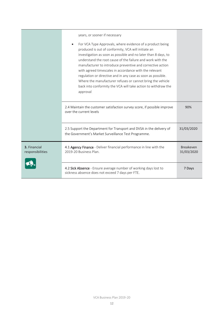|                                  | years, or sooner if necessary<br>For VCA Type Approvals, where evidence of a product being<br>produced is out of conformity, VCA will initiate an<br>investigation as soon as possible and no later than 8 days, to<br>understand the root cause of the failure and work with the<br>manufacturer to introduce preventive and corrective action<br>with agreed timescales in accordance with the relevant<br>regulation or directive and in any case as soon as possible.<br>Where the manufacturer refuses or cannot bring the vehicle<br>back into conformity the VCA will take action to withdraw the<br>approval |                                |
|----------------------------------|----------------------------------------------------------------------------------------------------------------------------------------------------------------------------------------------------------------------------------------------------------------------------------------------------------------------------------------------------------------------------------------------------------------------------------------------------------------------------------------------------------------------------------------------------------------------------------------------------------------------|--------------------------------|
|                                  | 2.4 Maintain the customer satisfaction survey score, if possible improve<br>over the current levels                                                                                                                                                                                                                                                                                                                                                                                                                                                                                                                  | 90%                            |
|                                  | 2.5 Support the Department for Transport and DVSA in the delivery of<br>the Government's Market Surveillance Test Programme.                                                                                                                                                                                                                                                                                                                                                                                                                                                                                         | 31/03/2020                     |
| 3. Financial<br>responsibilities | 4.1 Agency Finance - Deliver financial performance in line with the<br>2019-20 Business Plan.                                                                                                                                                                                                                                                                                                                                                                                                                                                                                                                        | <b>Breakeven</b><br>31/03/2020 |
|                                  | 4.2 Sick Absence - Ensure average number of working days lost to<br>sickness absence does not exceed 7 days per FTE.                                                                                                                                                                                                                                                                                                                                                                                                                                                                                                 | 7 Days                         |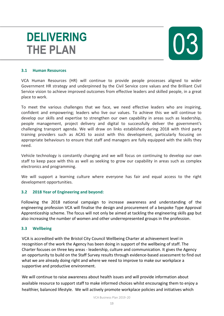## **DELIVERING THE PLAN**



#### **3.1 Human Resources**

VCA Human Resources (HR) will continue to provide people processes aligned to wider Government HR strategy and underpinned by the Civil Service core values and the Brilliant Civil Service vision to achieve improved outcomes from effective leaders and skilled people, in a great place to work.

To meet the various challenges that we face, we need effective leaders who are inspiring, confident and empowering; leaders who live our values. To achieve this we will continue to develop our skills and expertise to strengthen our own capability in areas such as leadership, people management, project delivery and digital to successfully deliver the government's challenging transport agenda. We will draw on links established during 2018 with third party training providers such as ACAS to assist with this development, particularly focusing on appropriate behaviours to ensure that staff and managers are fully equipped with the skills they need.

Vehicle technology is constantly changing and we will focus on continuing to develop our own staff to keep pace with this as well as seeking to grow our capability in areas such as complex electronics and programming.

We will support a learning culture where everyone has fair and equal access to the right development opportunities.

#### **3.2 2018 Year of Engineering and beyond:**

Following the 2018 national campaign to increase awareness and understanding of the engineering profession VCA will finalise the design and procurement of a bespoke Type Approval Apprenticeship scheme. The focus will not only be aimed at tackling the engineering skills gap but also increasing the number of women and other underrepresented groups in the profession.

#### **3.3 Wellbeing**

VCA is accredited with the Bristol City Council Wellbeing Charter at achievement level in recognition of the work the Agency has been doing in support of the wellbeing of staff. The Charter focuses on three key areas - leadership, culture and communication. It gives the Agency an opportunity to build on the Staff Survey results through evidence-based assessment to find out what we are already doing right and where we need to improve to make our workplace a supportive and productive environment.

We will continue to raise awareness about health issues and will provide information about available resource to support staff to make informed choices whilst encouraging them to enjoy a healthier, balanced lifestyle. We will actively promote workplace policies and initiatives which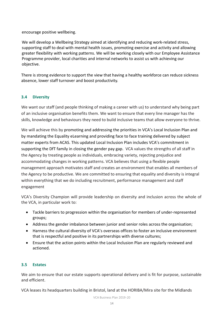encourage positive wellbeing.

We will develop a Wellbeing Strategy aimed at identifying and reducing work-related stress, supporting staff to deal with mental health issues, promoting exercise and activity and allowing greater flexibility with working patterns. We will be working closely with our Employee Assistance Programme provider, local charities and internal networks to assist us with achieving our objective.

There is strong evidence to support the view that having a healthy workforce can reduce sickness absence, lower staff turnover and boost productivity.

#### **3.4 Diversity**

We want our staff (and people thinking of making a career with us) to understand why being part of an inclusive organisation benefits them. We want to ensure that every line manager has the skills, knowledge and behaviours they need to build inclusive teams that allow everyone to thrive.

We will achieve this by promoting and addressing the priorities in VCA's Local Inclusion Plan and by mandating the Equality eLearning and providing face to face training delivered by subject matter experts from ACAS. This updated Local Inclusion Plan includes VCA's commitment in supporting the DfT family in closing the gender pay gap. VCA values the strengths of all staff in the Agency by treating people as individuals, embracing variety, rejecting prejudice and accommodating changes in working patterns. VCA believes that using a flexible people management approach motivates staff and creates an environment that enables all members of the Agency to be productive. We are committed to ensuring that equality and diversity is integral within everything that we do including recruitment, performance management and staff engagement

VCA's Diversity Champion will provide leadership on diversity and inclusion across the whole of the VCA, in particular work to:

- Tackle barriers to progression within the organisation for members of under-represented groups;
- Address the gender imbalance between junior and senior roles across the organisation;
- Harness the cultural diversity of VCA's overseas offices to foster an inclusive environment that is respectful and positive in its partnerships with diverse cultures;
- Ensure that the action points within the Local Inclusion Plan are regularly reviewed and actioned.

#### **3.5 Estates**

We aim to ensure that our estate supports operational delivery and is fit for purpose, sustainable and efficient.

VCA leases its headquarters building in Bristol, land at the HORIBA/Mira site for the Midlands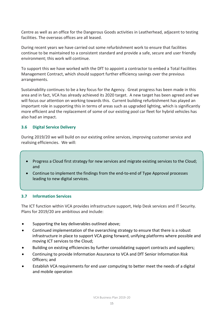Centre as well as an office for the Dangerous Goods activities in Leatherhead, adjacent to testing facilities. The overseas offices are all leased.

During recent years we have carried out some refurbishment work to ensure that facilities continue to be maintained to a consistent standard and provide a safe, secure and user friendly environment; this work will continue.

To support this we have worked with the DfT to appoint a contractor to embed a Total Facilities Management Contract, which should support further efficiency savings over the previous arrangements.

Sustainability continues to be a key focus for the Agency. Great progress has been made in this area and in fact, VCA has already achieved its 2020 target. A new target has been agreed and we will focus our attention on working towards this. Current building refurbishment has played an important role in supporting this in terms of areas such as upgraded lighting, which is significantly more efficient and the replacement of some of our existing pool car fleet for hybrid vehicles has also had an impact.

#### **3.6 Digital Service Delivery**

During 2019/20 we will build on our existing online services, improving customer service and realising efficiencies. We will:

- Progress a Cloud first strategy for new services and migrate existing services to the Cloud; and
- Continue to implement the findings from the end-to-end of Type Approval processes leading to new digital services.

#### **3.7 Information Services**

The ICT function within VCA provides infrastructure support, Help Desk services and IT Security. Plans for 2019/20 are ambitious and include:

- Supporting the key deliverables outlined above;
- Continued implementation of the overarching strategy to ensure that there is a robust infrastructure in place to support VCA going forward, unifying platforms where possible and moving ICT services to the Cloud;
- Building on existing efficiencies by further consolidating support contracts and suppliers;
- Continuing to provide Information Assurance to VCA and DfT Senior Information Risk Officers; and
- Establish VCA requirements for end user computing to better meet the needs of a digital and mobile operation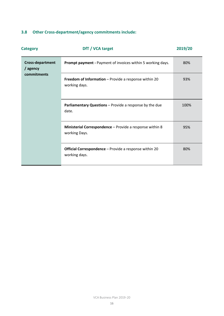### **3.8 Other Cross-department/agency commitments include:**

| <b>Category</b>                                    | DfT / VCA target                                                               | 2019/20 |
|----------------------------------------------------|--------------------------------------------------------------------------------|---------|
| <b>Cross-department</b><br>/ agency<br>commitments | <b>Prompt payment - Payment of invoices within 5 working days.</b>             | 80%     |
|                                                    | Freedom of Information - Provide a response within 20<br>working days.         | 93%     |
|                                                    | Parliamentary Questions - Provide a response by the due<br>date.               | 100%    |
|                                                    | Ministerial Correspondence - Provide a response within 8<br>working Days.      | 95%     |
|                                                    | <b>Official Correspondence</b> – Provide a response within 20<br>working days. | 80%     |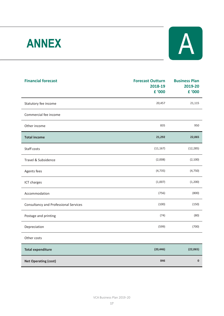# **ANNEX**



| <b>Financial forecast</b>                    | <b>Forecast Outturn</b><br>2018-19<br>£ '000 | <b>Business Plan</b><br>2019-20<br>£ '000 |
|----------------------------------------------|----------------------------------------------|-------------------------------------------|
| Statutory fee income                         | 20,457                                       | 21,115                                    |
| Commercial fee income                        |                                              |                                           |
| Other income                                 | 835                                          | 950                                       |
| <b>Total income</b>                          | 21,292                                       | 22,065                                    |
| Staff costs                                  | (11, 167)                                    | (12, 285)                                 |
| Travel & Subsidence                          | (2,008)                                      | (2, 100)                                  |
| Agents fees                                  | (4, 735)                                     | (4, 750)                                  |
| ICT charges                                  | (1,007)                                      | (1,200)                                   |
| Accommodation                                | (756)                                        | (800)                                     |
| <b>Consultancy and Professional Services</b> | (100)                                        | (150)                                     |
| Postage and printing                         | (74)                                         | (80)                                      |
| Depreciation                                 | (599)                                        | (700)                                     |
| Other costs                                  |                                              |                                           |
| <b>Total expenditure</b>                     | (20, 446)                                    | (22,065)                                  |
| <b>Net Operating (cost)</b>                  | 846                                          | $\mathbf 0$                               |